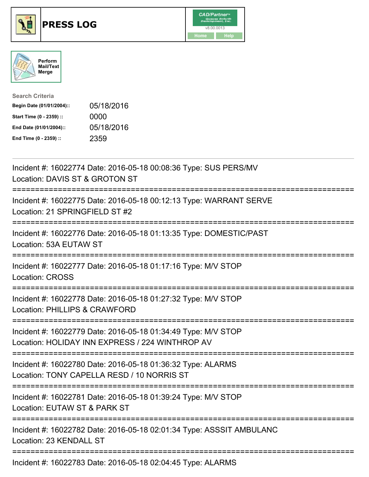





| <b>Search Criteria</b>    |            |
|---------------------------|------------|
| Begin Date (01/01/2004):: | 05/18/2016 |
| Start Time (0 - 2359) ::  | 0000       |
| End Date (01/01/2004)::   | 05/18/2016 |
| End Time (0 - 2359) ::    | 2359       |

| Incident #: 16022774 Date: 2016-05-18 00:08:36 Type: SUS PERS/MV<br>Location: DAVIS ST & GROTON ST                                                               |
|------------------------------------------------------------------------------------------------------------------------------------------------------------------|
| Incident #: 16022775 Date: 2016-05-18 00:12:13 Type: WARRANT SERVE<br>Location: 21 SPRINGFIELD ST #2                                                             |
| Incident #: 16022776 Date: 2016-05-18 01:13:35 Type: DOMESTIC/PAST<br>Location: 53A EUTAW ST                                                                     |
| Incident #: 16022777 Date: 2016-05-18 01:17:16 Type: M/V STOP<br>Location: CROSS<br>================                                                             |
| Incident #: 16022778 Date: 2016-05-18 01:27:32 Type: M/V STOP<br>Location: PHILLIPS & CRAWFORD                                                                   |
| Incident #: 16022779 Date: 2016-05-18 01:34:49 Type: M/V STOP<br>Location: HOLIDAY INN EXPRESS / 224 WINTHROP AV<br>-----------------                            |
| Incident #: 16022780 Date: 2016-05-18 01:36:32 Type: ALARMS<br>Location: TONY CAPELLA RESD / 10 NORRIS ST<br>=============================<br>------------------ |
| Incident #: 16022781 Date: 2016-05-18 01:39:24 Type: M/V STOP<br>Location: EUTAW ST & PARK ST                                                                    |
| Incident #: 16022782 Date: 2016-05-18 02:01:34 Type: ASSSIT AMBULANC<br>Location: 23 KENDALL ST                                                                  |
| Incident #: 16022783 Date: 2016-05-18 02:04:45 Type: ALARMS                                                                                                      |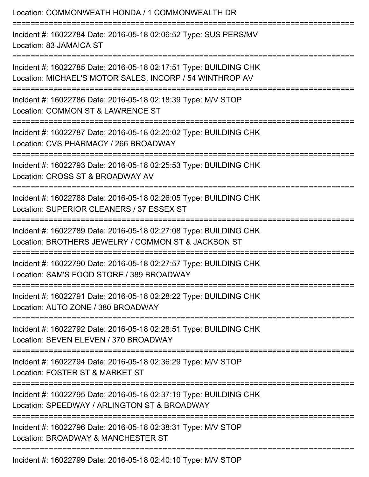| Location: COMMONWEATH HONDA / 1 COMMONWEALTH DR                                                                               |
|-------------------------------------------------------------------------------------------------------------------------------|
| Incident #: 16022784 Date: 2016-05-18 02:06:52 Type: SUS PERS/MV<br>Location: 83 JAMAICA ST                                   |
| Incident #: 16022785 Date: 2016-05-18 02:17:51 Type: BUILDING CHK<br>Location: MICHAEL'S MOTOR SALES, INCORP / 54 WINTHROP AV |
| Incident #: 16022786 Date: 2016-05-18 02:18:39 Type: M/V STOP<br>Location: COMMON ST & LAWRENCE ST<br>---------------------   |
| Incident #: 16022787 Date: 2016-05-18 02:20:02 Type: BUILDING CHK<br>Location: CVS PHARMACY / 266 BROADWAY                    |
| Incident #: 16022793 Date: 2016-05-18 02:25:53 Type: BUILDING CHK<br>Location: CROSS ST & BROADWAY AV                         |
| Incident #: 16022788 Date: 2016-05-18 02:26:05 Type: BUILDING CHK<br>Location: SUPERIOR CLEANERS / 37 ESSEX ST                |
| Incident #: 16022789 Date: 2016-05-18 02:27:08 Type: BUILDING CHK<br>Location: BROTHERS JEWELRY / COMMON ST & JACKSON ST      |
| Incident #: 16022790 Date: 2016-05-18 02:27:57 Type: BUILDING CHK<br>Location: SAM'S FOOD STORE / 389 BROADWAY                |
| Incident #: 16022791 Date: 2016-05-18 02:28:22 Type: BUILDING CHK<br>Location: AUTO ZONE / 380 BROADWAY                       |
| Incident #: 16022792 Date: 2016-05-18 02:28:51 Type: BUILDING CHK<br>Location: SEVEN ELEVEN / 370 BROADWAY                    |
| Incident #: 16022794 Date: 2016-05-18 02:36:29 Type: M/V STOP<br>Location: FOSTER ST & MARKET ST                              |
| Incident #: 16022795 Date: 2016-05-18 02:37:19 Type: BUILDING CHK<br>Location: SPEEDWAY / ARLINGTON ST & BROADWAY             |
| Incident #: 16022796 Date: 2016-05-18 02:38:31 Type: M/V STOP<br>Location: BROADWAY & MANCHESTER ST                           |
| $Incidont #: 16022700 Data: 2016 05 18 02:40:10 Two: MM/ETOD$                                                                 |

Incident #: 16022799 Date: 2016-05-18 02:40:10 Type: M/V STOP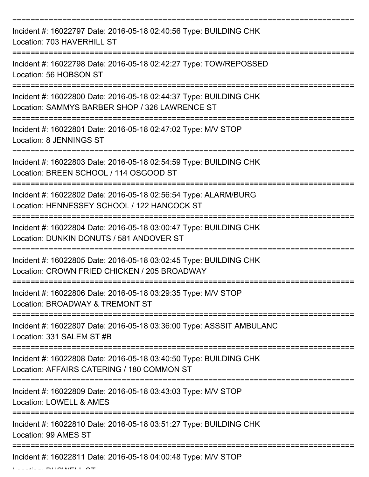| Incident #: 16022797 Date: 2016-05-18 02:40:56 Type: BUILDING CHK<br>Location: 703 HAVERHILL ST                     |
|---------------------------------------------------------------------------------------------------------------------|
| Incident #: 16022798 Date: 2016-05-18 02:42:27 Type: TOW/REPOSSED<br>Location: 56 HOBSON ST                         |
| Incident #: 16022800 Date: 2016-05-18 02:44:37 Type: BUILDING CHK<br>Location: SAMMYS BARBER SHOP / 326 LAWRENCE ST |
| Incident #: 16022801 Date: 2016-05-18 02:47:02 Type: M/V STOP<br><b>Location: 8 JENNINGS ST</b>                     |
| Incident #: 16022803 Date: 2016-05-18 02:54:59 Type: BUILDING CHK<br>Location: BREEN SCHOOL / 114 OSGOOD ST         |
| Incident #: 16022802 Date: 2016-05-18 02:56:54 Type: ALARM/BURG<br>Location: HENNESSEY SCHOOL / 122 HANCOCK ST      |
| Incident #: 16022804 Date: 2016-05-18 03:00:47 Type: BUILDING CHK<br>Location: DUNKIN DONUTS / 581 ANDOVER ST       |
| Incident #: 16022805 Date: 2016-05-18 03:02:45 Type: BUILDING CHK<br>Location: CROWN FRIED CHICKEN / 205 BROADWAY   |
| Incident #: 16022806 Date: 2016-05-18 03:29:35 Type: M/V STOP<br>Location: BROADWAY & TREMONT ST                    |
| Incident #: 16022807 Date: 2016-05-18 03:36:00 Type: ASSSIT AMBULANC<br>Location: 331 SALEM ST #B                   |
| Incident #: 16022808 Date: 2016-05-18 03:40:50 Type: BUILDING CHK<br>Location: AFFAIRS CATERING / 180 COMMON ST     |
| Incident #: 16022809 Date: 2016-05-18 03:43:03 Type: M/V STOP<br>Location: LOWELL & AMES                            |
| Incident #: 16022810 Date: 2016-05-18 03:51:27 Type: BUILDING CHK<br>Location: 99 AMES ST                           |
| Incident #: 16022811 Date: 2016-05-18 04:00:48 Type: M/V STOP                                                       |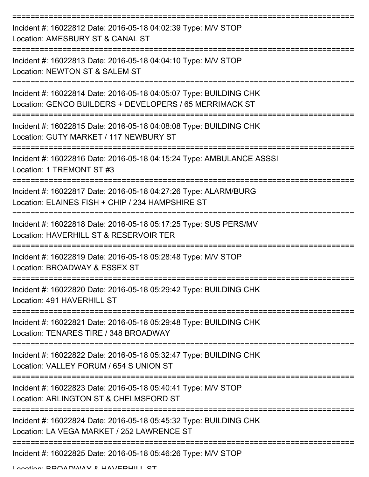| Incident #: 16022812 Date: 2016-05-18 04:02:39 Type: M/V STOP<br>Location: AMESBURY ST & CANAL ST                            |
|------------------------------------------------------------------------------------------------------------------------------|
| Incident #: 16022813 Date: 2016-05-18 04:04:10 Type: M/V STOP<br>Location: NEWTON ST & SALEM ST                              |
| Incident #: 16022814 Date: 2016-05-18 04:05:07 Type: BUILDING CHK<br>Location: GENCO BUILDERS + DEVELOPERS / 65 MERRIMACK ST |
| Incident #: 16022815 Date: 2016-05-18 04:08:08 Type: BUILDING CHK<br>Location: GUTY MARKET / 117 NEWBURY ST                  |
| Incident #: 16022816 Date: 2016-05-18 04:15:24 Type: AMBULANCE ASSSI<br>Location: 1 TREMONT ST #3                            |
| Incident #: 16022817 Date: 2016-05-18 04:27:26 Type: ALARM/BURG<br>Location: ELAINES FISH + CHIP / 234 HAMPSHIRE ST          |
| Incident #: 16022818 Date: 2016-05-18 05:17:25 Type: SUS PERS/MV<br>Location: HAVERHILL ST & RESERVOIR TER                   |
| Incident #: 16022819 Date: 2016-05-18 05:28:48 Type: M/V STOP<br>Location: BROADWAY & ESSEX ST                               |
| Incident #: 16022820 Date: 2016-05-18 05:29:42 Type: BUILDING CHK<br>Location: 491 HAVERHILL ST                              |
| Incident #: 16022821 Date: 2016-05-18 05:29:48 Type: BUILDING CHK<br>Location: TENARES TIRE / 348 BROADWAY                   |
| Incident #: 16022822 Date: 2016-05-18 05:32:47 Type: BUILDING CHK<br>Location: VALLEY FORUM / 654 S UNION ST                 |
| Incident #: 16022823 Date: 2016-05-18 05:40:41 Type: M/V STOP<br>Location: ARLINGTON ST & CHELMSFORD ST                      |
| Incident #: 16022824 Date: 2016-05-18 05:45:32 Type: BUILDING CHK<br>Location: LA VEGA MARKET / 252 LAWRENCE ST              |
| Incident #: 16022825 Date: 2016-05-18 05:46:26 Type: M/V STOP                                                                |

Location: BDOADWAV & HAVEDHILL ST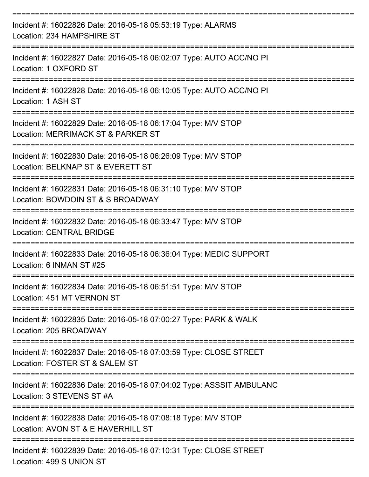| Incident #: 16022826 Date: 2016-05-18 05:53:19 Type: ALARMS<br>Location: 234 HAMPSHIRE ST<br>:==========                        |
|---------------------------------------------------------------------------------------------------------------------------------|
| Incident #: 16022827 Date: 2016-05-18 06:02:07 Type: AUTO ACC/NO PI<br>Location: 1 OXFORD ST<br>-----------------               |
| Incident #: 16022828 Date: 2016-05-18 06:10:05 Type: AUTO ACC/NO PI<br>Location: 1 ASH ST                                       |
| Incident #: 16022829 Date: 2016-05-18 06:17:04 Type: M/V STOP<br>Location: MERRIMACK ST & PARKER ST                             |
| Incident #: 16022830 Date: 2016-05-18 06:26:09 Type: M/V STOP<br>Location: BELKNAP ST & EVERETT ST                              |
| Incident #: 16022831 Date: 2016-05-18 06:31:10 Type: M/V STOP<br>Location: BOWDOIN ST & S BROADWAY                              |
| Incident #: 16022832 Date: 2016-05-18 06:33:47 Type: M/V STOP<br><b>Location: CENTRAL BRIDGE</b>                                |
| Incident #: 16022833 Date: 2016-05-18 06:36:04 Type: MEDIC SUPPORT<br>Location: 6 INMAN ST #25                                  |
| Incident #: 16022834 Date: 2016-05-18 06:51:51 Type: M/V STOP<br>Location: 451 MT VERNON ST                                     |
| Incident #: 16022835 Date: 2016-05-18 07:00:27 Type: PARK & WALK<br>Location: 205 BROADWAY                                      |
| Incident #: 16022837 Date: 2016-05-18 07:03:59 Type: CLOSE STREET<br>Location: FOSTER ST & SALEM ST                             |
| --------------------------<br>Incident #: 16022836 Date: 2016-05-18 07:04:02 Type: ASSSIT AMBULANC<br>Location: 3 STEVENS ST #A |
| Incident #: 16022838 Date: 2016-05-18 07:08:18 Type: M/V STOP<br>Location: AVON ST & E HAVERHILL ST                             |
| Incident #: 16022839 Date: 2016-05-18 07:10:31 Type: CLOSE STREET                                                               |

Location: 499 S UNION ST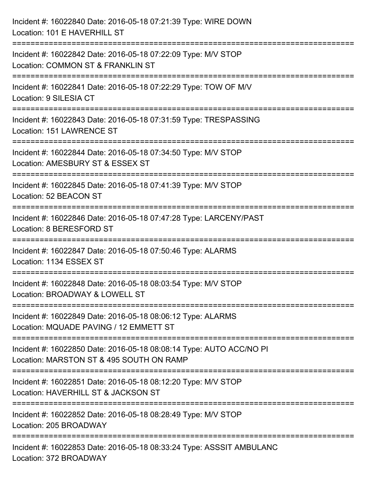| Incident #: 16022840 Date: 2016-05-18 07:21:39 Type: WIRE DOWN<br>Location: 101 E HAVERHILL ST                                                    |
|---------------------------------------------------------------------------------------------------------------------------------------------------|
| Incident #: 16022842 Date: 2016-05-18 07:22:09 Type: M/V STOP<br>Location: COMMON ST & FRANKLIN ST                                                |
| Incident #: 16022841 Date: 2016-05-18 07:22:29 Type: TOW OF M/V<br>Location: 9 SILESIA CT                                                         |
| Incident #: 16022843 Date: 2016-05-18 07:31:59 Type: TRESPASSING<br>Location: 151 LAWRENCE ST                                                     |
| Incident #: 16022844 Date: 2016-05-18 07:34:50 Type: M/V STOP<br>Location: AMESBURY ST & ESSEX ST<br>======================                       |
| Incident #: 16022845 Date: 2016-05-18 07:41:39 Type: M/V STOP<br>Location: 52 BEACON ST                                                           |
| Incident #: 16022846 Date: 2016-05-18 07:47:28 Type: LARCENY/PAST<br>Location: 8 BERESFORD ST                                                     |
| Incident #: 16022847 Date: 2016-05-18 07:50:46 Type: ALARMS<br>Location: 1134 ESSEX ST                                                            |
| Incident #: 16022848 Date: 2016-05-18 08:03:54 Type: M/V STOP<br>Location: BROADWAY & LOWELL ST                                                   |
| Incident #: 16022849 Date: 2016-05-18 08:06:12 Type: ALARMS<br>Location: MQUADE PAVING / 12 EMMETT ST                                             |
| Incident #: 16022850 Date: 2016-05-18 08:08:14 Type: AUTO ACC/NO PI<br>Location: MARSTON ST & 495 SOUTH ON RAMP<br>============================== |
| Incident #: 16022851 Date: 2016-05-18 08:12:20 Type: M/V STOP<br>Location: HAVERHILL ST & JACKSON ST                                              |
| Incident #: 16022852 Date: 2016-05-18 08:28:49 Type: M/V STOP<br>Location: 205 BROADWAY                                                           |
| Incident #: 16022853 Date: 2016-05-18 08:33:24 Type: ASSSIT AMBULANC<br>Location: 372 BROADWAY                                                    |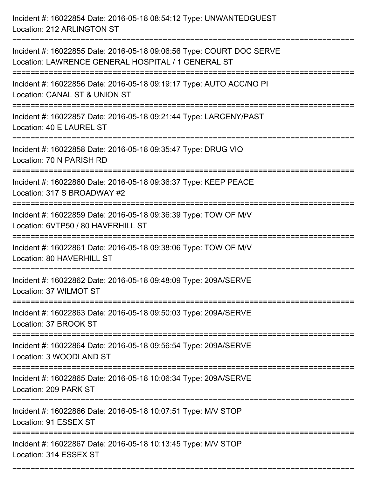| Incident #: 16022854 Date: 2016-05-18 08:54:12 Type: UNWANTEDGUEST<br>Location: 212 ARLINGTON ST                                              |
|-----------------------------------------------------------------------------------------------------------------------------------------------|
| Incident #: 16022855 Date: 2016-05-18 09:06:56 Type: COURT DOC SERVE<br>Location: LAWRENCE GENERAL HOSPITAL / 1 GENERAL ST                    |
| Incident #: 16022856 Date: 2016-05-18 09:19:17 Type: AUTO ACC/NO PI<br>Location: CANAL ST & UNION ST<br>===================================== |
| Incident #: 16022857 Date: 2016-05-18 09:21:44 Type: LARCENY/PAST<br>Location: 40 E LAUREL ST                                                 |
| Incident #: 16022858 Date: 2016-05-18 09:35:47 Type: DRUG VIO<br>Location: 70 N PARISH RD<br>=======================                          |
| Incident #: 16022860 Date: 2016-05-18 09:36:37 Type: KEEP PEACE<br>Location: 317 S BROADWAY #2                                                |
| Incident #: 16022859 Date: 2016-05-18 09:36:39 Type: TOW OF M/V<br>Location: 6VTP50 / 80 HAVERHILL ST<br>-----------------                    |
| Incident #: 16022861 Date: 2016-05-18 09:38:06 Type: TOW OF M/V<br>Location: 80 HAVERHILL ST                                                  |
| Incident #: 16022862 Date: 2016-05-18 09:48:09 Type: 209A/SERVE<br>Location: 37 WILMOT ST                                                     |
| Incident #: 16022863 Date: 2016-05-18 09:50:03 Type: 209A/SERVE<br>Location: 37 BROOK ST                                                      |
| Incident #: 16022864 Date: 2016-05-18 09:56:54 Type: 209A/SERVE<br>Location: 3 WOODLAND ST                                                    |
| Incident #: 16022865 Date: 2016-05-18 10:06:34 Type: 209A/SERVE<br>Location: 209 PARK ST                                                      |
| Incident #: 16022866 Date: 2016-05-18 10:07:51 Type: M/V STOP<br>Location: 91 ESSEX ST                                                        |
| Incident #: 16022867 Date: 2016-05-18 10:13:45 Type: M/V STOP<br>Location: 314 ESSEX ST                                                       |

===========================================================================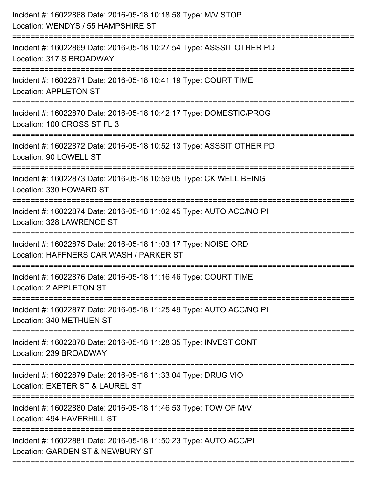| Incident #: 16022868 Date: 2016-05-18 10:18:58 Type: M/V STOP<br>Location: WENDYS / 55 HAMPSHIRE ST                                   |
|---------------------------------------------------------------------------------------------------------------------------------------|
| :=======================<br>Incident #: 16022869 Date: 2016-05-18 10:27:54 Type: ASSSIT OTHER PD<br>Location: 317 S BROADWAY          |
| Incident #: 16022871 Date: 2016-05-18 10:41:19 Type: COURT TIME<br><b>Location: APPLETON ST</b>                                       |
| Incident #: 16022870 Date: 2016-05-18 10:42:17 Type: DOMESTIC/PROG<br>Location: 100 CROSS ST FL 3                                     |
| Incident #: 16022872 Date: 2016-05-18 10:52:13 Type: ASSSIT OTHER PD<br>Location: 90 LOWELL ST                                        |
| Incident #: 16022873 Date: 2016-05-18 10:59:05 Type: CK WELL BEING<br>Location: 330 HOWARD ST                                         |
| Incident #: 16022874 Date: 2016-05-18 11:02:45 Type: AUTO ACC/NO PI<br>Location: 328 LAWRENCE ST<br>--------------------------------- |
| Incident #: 16022875 Date: 2016-05-18 11:03:17 Type: NOISE ORD<br>Location: HAFFNERS CAR WASH / PARKER ST                             |
| Incident #: 16022876 Date: 2016-05-18 11:16:46 Type: COURT TIME<br>Location: 2 APPLETON ST                                            |
| Incident #: 16022877 Date: 2016-05-18 11:25:49 Type: AUTO ACC/NO PI<br>Location: 340 METHUEN ST                                       |
| Incident #: 16022878 Date: 2016-05-18 11:28:35 Type: INVEST CONT<br>Location: 239 BROADWAY                                            |
| Incident #: 16022879 Date: 2016-05-18 11:33:04 Type: DRUG VIO<br>Location: EXETER ST & LAUREL ST                                      |
| Incident #: 16022880 Date: 2016-05-18 11:46:53 Type: TOW OF M/V<br>Location: 494 HAVERHILL ST                                         |
| Incident #: 16022881 Date: 2016-05-18 11:50:23 Type: AUTO ACC/PI<br>Location: GARDEN ST & NEWBURY ST                                  |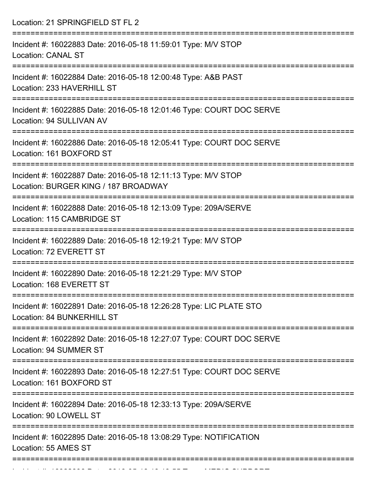Location: 21 SPRINGFIELD ST FL 2

| Incident #: 16022883 Date: 2016-05-18 11:59:01 Type: M/V STOP<br><b>Location: CANAL ST</b>                        |
|-------------------------------------------------------------------------------------------------------------------|
| Incident #: 16022884 Date: 2016-05-18 12:00:48 Type: A&B PAST<br>Location: 233 HAVERHILL ST                       |
| Incident #: 16022885 Date: 2016-05-18 12:01:46 Type: COURT DOC SERVE<br>Location: 94 SULLIVAN AV                  |
| Incident #: 16022886 Date: 2016-05-18 12:05:41 Type: COURT DOC SERVE<br>Location: 161 BOXFORD ST                  |
| Incident #: 16022887 Date: 2016-05-18 12:11:13 Type: M/V STOP<br>Location: BURGER KING / 187 BROADWAY             |
| Incident #: 16022888 Date: 2016-05-18 12:13:09 Type: 209A/SERVE<br>Location: 115 CAMBRIDGE ST                     |
| Incident #: 16022889 Date: 2016-05-18 12:19:21 Type: M/V STOP<br>Location: 72 EVERETT ST                          |
| ===========<br>Incident #: 16022890 Date: 2016-05-18 12:21:29 Type: M/V STOP<br>Location: 168 EVERETT ST          |
| Incident #: 16022891 Date: 2016-05-18 12:26:28 Type: LIC PLATE STO<br>Location: 84 BUNKERHILL ST                  |
| ===============<br>Incident #: 16022892 Date: 2016-05-18 12:27:07 Type: COURT DOC SERVE<br>Location: 94 SUMMER ST |
| Incident #: 16022893 Date: 2016-05-18 12:27:51 Type: COURT DOC SERVE<br>Location: 161 BOXFORD ST                  |
| Incident #: 16022894 Date: 2016-05-18 12:33:13 Type: 209A/SERVE<br>Location: 90 LOWELL ST                         |
| Incident #: 16022895 Date: 2016-05-18 13:08:29 Type: NOTIFICATION<br>Location: 55 AMES ST                         |
|                                                                                                                   |

Incident #: 16022896 Date: 2016 05 18 13:13:55 Type: MEDIC SUPPORT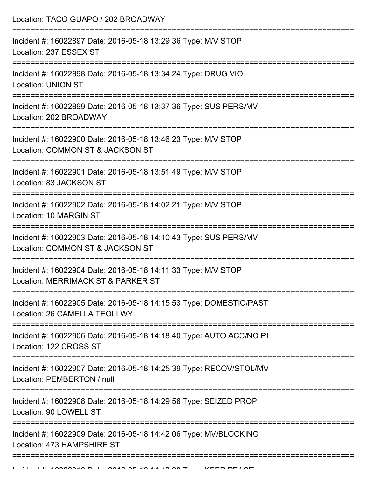| Location: TACO GUAPO / 202 BROADWAY                                                                                         |
|-----------------------------------------------------------------------------------------------------------------------------|
| Incident #: 16022897 Date: 2016-05-18 13:29:36 Type: M/V STOP<br>Location: 237 ESSEX ST                                     |
| Incident #: 16022898 Date: 2016-05-18 13:34:24 Type: DRUG VIO<br><b>Location: UNION ST</b>                                  |
| Incident #: 16022899 Date: 2016-05-18 13:37:36 Type: SUS PERS/MV<br>Location: 202 BROADWAY                                  |
| Incident #: 16022900 Date: 2016-05-18 13:46:23 Type: M/V STOP<br>Location: COMMON ST & JACKSON ST<br>---------------------- |
| Incident #: 16022901 Date: 2016-05-18 13:51:49 Type: M/V STOP<br>Location: 83 JACKSON ST                                    |
| Incident #: 16022902 Date: 2016-05-18 14:02:21 Type: M/V STOP<br>Location: 10 MARGIN ST                                     |
| Incident #: 16022903 Date: 2016-05-18 14:10:43 Type: SUS PERS/MV<br>Location: COMMON ST & JACKSON ST                        |
| Incident #: 16022904 Date: 2016-05-18 14:11:33 Type: M/V STOP<br>Location: MERRIMACK ST & PARKER ST                         |
| Incident #: 16022905 Date: 2016-05-18 14:15:53 Type: DOMESTIC/PAST<br>Location: 26 CAMELLA TEOLI WY                         |
| Incident #: 16022906 Date: 2016-05-18 14:18:40 Type: AUTO ACC/NO PI<br>Location: 122 CROSS ST                               |
| Incident #: 16022907 Date: 2016-05-18 14:25:39 Type: RECOV/STOL/MV<br>Location: PEMBERTON / null                            |
| Incident #: 16022908 Date: 2016-05-18 14:29:56 Type: SEIZED PROP<br>Location: 90 LOWELL ST                                  |
| Incident #: 16022909 Date: 2016-05-18 14:42:06 Type: MV/BLOCKING<br>Location: 473 HAMPSHIRE ST                              |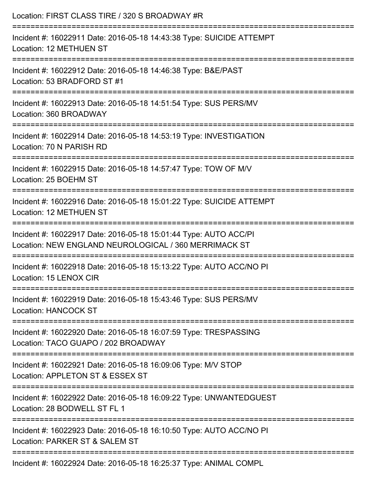| Location: FIRST CLASS TIRE / 320 S BROADWAY #R                                                                                         |
|----------------------------------------------------------------------------------------------------------------------------------------|
| Incident #: 16022911 Date: 2016-05-18 14:43:38 Type: SUICIDE ATTEMPT<br>Location: 12 METHUEN ST                                        |
| Incident #: 16022912 Date: 2016-05-18 14:46:38 Type: B&E/PAST<br>Location: 53 BRADFORD ST #1                                           |
| Incident #: 16022913 Date: 2016-05-18 14:51:54 Type: SUS PERS/MV<br>Location: 360 BROADWAY                                             |
| :===================================<br>Incident #: 16022914 Date: 2016-05-18 14:53:19 Type: INVESTIGATION<br>Location: 70 N PARISH RD |
| Incident #: 16022915 Date: 2016-05-18 14:57:47 Type: TOW OF M/V<br>Location: 25 BOEHM ST                                               |
| ===============================<br>Incident #: 16022916 Date: 2016-05-18 15:01:22 Type: SUICIDE ATTEMPT<br>Location: 12 METHUEN ST     |
| Incident #: 16022917 Date: 2016-05-18 15:01:44 Type: AUTO ACC/PI<br>Location: NEW ENGLAND NEUROLOGICAL / 360 MERRIMACK ST              |
| Incident #: 16022918 Date: 2016-05-18 15:13:22 Type: AUTO ACC/NO PI<br>Location: 15 LENOX CIR                                          |
| ----------------------------<br>Incident #: 16022919 Date: 2016-05-18 15:43:46 Type: SUS PERS/MV<br><b>Location: HANCOCK ST</b>        |
| Incident #: 16022920 Date: 2016-05-18 16:07:59 Type: TRESPASSING<br>Location: TACO GUAPO / 202 BROADWAY                                |
| Incident #: 16022921 Date: 2016-05-18 16:09:06 Type: M/V STOP<br>Location: APPLETON ST & ESSEX ST                                      |
| Incident #: 16022922 Date: 2016-05-18 16:09:22 Type: UNWANTEDGUEST<br>Location: 28 BODWELL ST FL 1                                     |
| Incident #: 16022923 Date: 2016-05-18 16:10:50 Type: AUTO ACC/NO PI<br>Location: PARKER ST & SALEM ST                                  |
| Incident #: 16022924 Date: 2016-05-18 16:25:37 Type: ANIMAL COMPL                                                                      |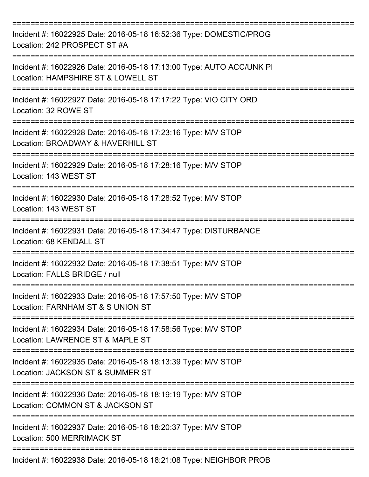| Incident #: 16022925 Date: 2016-05-18 16:52:36 Type: DOMESTIC/PROG<br>Location: 242 PROSPECT ST #A         |
|------------------------------------------------------------------------------------------------------------|
| Incident #: 16022926 Date: 2016-05-18 17:13:00 Type: AUTO ACC/UNK PI<br>Location: HAMPSHIRE ST & LOWELL ST |
| Incident #: 16022927 Date: 2016-05-18 17:17:22 Type: VIO CITY ORD<br>Location: 32 ROWE ST                  |
| Incident #: 16022928 Date: 2016-05-18 17:23:16 Type: M/V STOP<br>Location: BROADWAY & HAVERHILL ST         |
| Incident #: 16022929 Date: 2016-05-18 17:28:16 Type: M/V STOP<br>Location: 143 WEST ST                     |
| Incident #: 16022930 Date: 2016-05-18 17:28:52 Type: M/V STOP<br>Location: 143 WEST ST                     |
| Incident #: 16022931 Date: 2016-05-18 17:34:47 Type: DISTURBANCE<br>Location: 68 KENDALL ST                |
| Incident #: 16022932 Date: 2016-05-18 17:38:51 Type: M/V STOP<br>Location: FALLS BRIDGE / null             |
| Incident #: 16022933 Date: 2016-05-18 17:57:50 Type: M/V STOP<br>Location: FARNHAM ST & S UNION ST         |
| Incident #: 16022934 Date: 2016-05-18 17:58:56 Type: M/V STOP<br>Location: LAWRENCE ST & MAPLE ST          |
| Incident #: 16022935 Date: 2016-05-18 18:13:39 Type: M/V STOP<br>Location: JACKSON ST & SUMMER ST          |
| Incident #: 16022936 Date: 2016-05-18 18:19:19 Type: M/V STOP<br>Location: COMMON ST & JACKSON ST          |
| Incident #: 16022937 Date: 2016-05-18 18:20:37 Type: M/V STOP<br>Location: 500 MERRIMACK ST                |
| Incident #: 16022938 Date: 2016-05-18 18:21:08 Type: NEIGHBOR PROB                                         |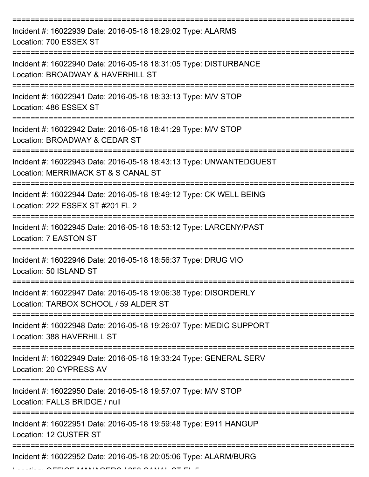| Incident #: 16022939 Date: 2016-05-18 18:29:02 Type: ALARMS<br>Location: 700 ESSEX ST                                               |
|-------------------------------------------------------------------------------------------------------------------------------------|
| Incident #: 16022940 Date: 2016-05-18 18:31:05 Type: DISTURBANCE<br>Location: BROADWAY & HAVERHILL ST                               |
| Incident #: 16022941 Date: 2016-05-18 18:33:13 Type: M/V STOP<br>Location: 486 ESSEX ST                                             |
| Incident #: 16022942 Date: 2016-05-18 18:41:29 Type: M/V STOP<br>Location: BROADWAY & CEDAR ST                                      |
| Incident #: 16022943 Date: 2016-05-18 18:43:13 Type: UNWANTEDGUEST<br>Location: MERRIMACK ST & S CANAL ST<br>====================== |
| Incident #: 16022944 Date: 2016-05-18 18:49:12 Type: CK WELL BEING<br>Location: 222 ESSEX ST #201 FL 2                              |
| Incident #: 16022945 Date: 2016-05-18 18:53:12 Type: LARCENY/PAST<br>Location: 7 EASTON ST                                          |
| Incident #: 16022946 Date: 2016-05-18 18:56:37 Type: DRUG VIO<br>Location: 50 ISLAND ST                                             |
| Incident #: 16022947 Date: 2016-05-18 19:06:38 Type: DISORDERLY<br>Location: TARBOX SCHOOL / 59 ALDER ST                            |
| Incident #: 16022948 Date: 2016-05-18 19:26:07 Type: MEDIC SUPPORT<br>Location: 388 HAVERHILL ST                                    |
| Incident #: 16022949 Date: 2016-05-18 19:33:24 Type: GENERAL SERV<br>Location: 20 CYPRESS AV                                        |
| Incident #: 16022950 Date: 2016-05-18 19:57:07 Type: M/V STOP<br>Location: FALLS BRIDGE / null                                      |
| Incident #: 16022951 Date: 2016-05-18 19:59:48 Type: E911 HANGUP<br>Location: 12 CUSTER ST                                          |
| Incident #: 16022952 Date: 2016-05-18 20:05:06 Type: ALARM/BURG                                                                     |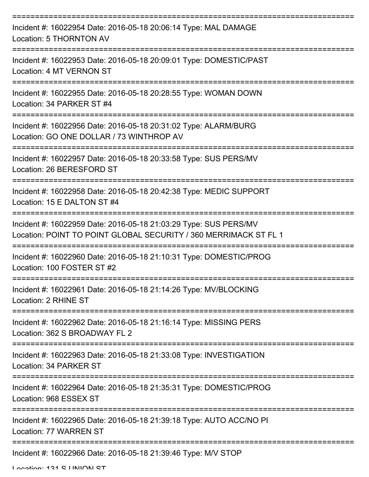| Incident #: 16022954 Date: 2016-05-18 20:06:14 Type: MAL DAMAGE<br>Location: 5 THORNTON AV                                           |
|--------------------------------------------------------------------------------------------------------------------------------------|
| Incident #: 16022953 Date: 2016-05-18 20:09:01 Type: DOMESTIC/PAST<br>Location: 4 MT VERNON ST                                       |
| Incident #: 16022955 Date: 2016-05-18 20:28:55 Type: WOMAN DOWN<br>Location: 34 PARKER ST #4                                         |
| Incident #: 16022956 Date: 2016-05-18 20:31:02 Type: ALARM/BURG<br>Location: GO ONE DOLLAR / 73 WINTHROP AV                          |
| Incident #: 16022957 Date: 2016-05-18 20:33:58 Type: SUS PERS/MV<br>Location: 26 BERESFORD ST                                        |
| Incident #: 16022958 Date: 2016-05-18 20:42:38 Type: MEDIC SUPPORT<br>Location: 15 E DALTON ST #4                                    |
| Incident #: 16022959 Date: 2016-05-18 21:03:29 Type: SUS PERS/MV<br>Location: POINT TO POINT GLOBAL SECURITY / 360 MERRIMACK ST FL 1 |
| Incident #: 16022960 Date: 2016-05-18 21:10:31 Type: DOMESTIC/PROG<br>Location: 100 FOSTER ST #2                                     |
| Incident #: 16022961 Date: 2016-05-18 21:14:26 Type: MV/BLOCKING<br>Location: 2 RHINE ST                                             |
| Incident #: 16022962 Date: 2016-05-18 21:16:14 Type: MISSING PERS<br>Location: 362 S BROADWAY FL 2                                   |
| Incident #: 16022963 Date: 2016-05-18 21:33:08 Type: INVESTIGATION<br>Location: 34 PARKER ST                                         |
| Incident #: 16022964 Date: 2016-05-18 21:35:31 Type: DOMESTIC/PROG<br>Location: 968 ESSEX ST                                         |
| Incident #: 16022965 Date: 2016-05-18 21:39:18 Type: AUTO ACC/NO PI<br>Location: 77 WARREN ST                                        |
| Incident #: 16022966 Date: 2016-05-18 21:39:46 Type: M/V STOP                                                                        |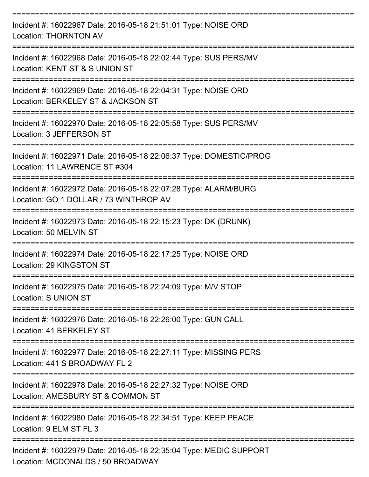| Incident #: 16022967 Date: 2016-05-18 21:51:01 Type: NOISE ORD<br><b>Location: THORNTON AV</b>                                 |
|--------------------------------------------------------------------------------------------------------------------------------|
| Incident #: 16022968 Date: 2016-05-18 22:02:44 Type: SUS PERS/MV<br>Location: KENT ST & S UNION ST                             |
| Incident #: 16022969 Date: 2016-05-18 22:04:31 Type: NOISE ORD<br>Location: BERKELEY ST & JACKSON ST<br>---------------        |
| Incident #: 16022970 Date: 2016-05-18 22:05:58 Type: SUS PERS/MV<br>Location: 3 JEFFERSON ST                                   |
| ----------------<br>Incident #: 16022971 Date: 2016-05-18 22:06:37 Type: DOMESTIC/PROG<br>Location: 11 LAWRENCE ST #304        |
| Incident #: 16022972 Date: 2016-05-18 22:07:28 Type: ALARM/BURG<br>Location: GO 1 DOLLAR / 73 WINTHROP AV                      |
| Incident #: 16022973 Date: 2016-05-18 22:15:23 Type: DK (DRUNK)<br>Location: 50 MELVIN ST                                      |
| Incident #: 16022974 Date: 2016-05-18 22:17:25 Type: NOISE ORD<br>Location: 29 KINGSTON ST                                     |
| Incident #: 16022975 Date: 2016-05-18 22:24:09 Type: M/V STOP<br><b>Location: S UNION ST</b>                                   |
| ===============<br>Incident #: 16022976 Date: 2016-05-18 22:26:00 Type: GUN CALL<br>Location: 41 BERKELEY ST                   |
| Incident #: 16022977 Date: 2016-05-18 22:27:11 Type: MISSING PERS<br>Location: 441 S BROADWAY FL 2                             |
| Incident #: 16022978 Date: 2016-05-18 22:27:32 Type: NOISE ORD<br>Location: AMESBURY ST & COMMON ST                            |
| Incident #: 16022980 Date: 2016-05-18 22:34:51 Type: KEEP PEACE<br>Location: 9 ELM ST FL 3                                     |
| -------------------<br>Incident #: 16022979 Date: 2016-05-18 22:35:04 Type: MEDIC SUPPORT<br>Location: MCDONALDS / 50 BROADWAY |